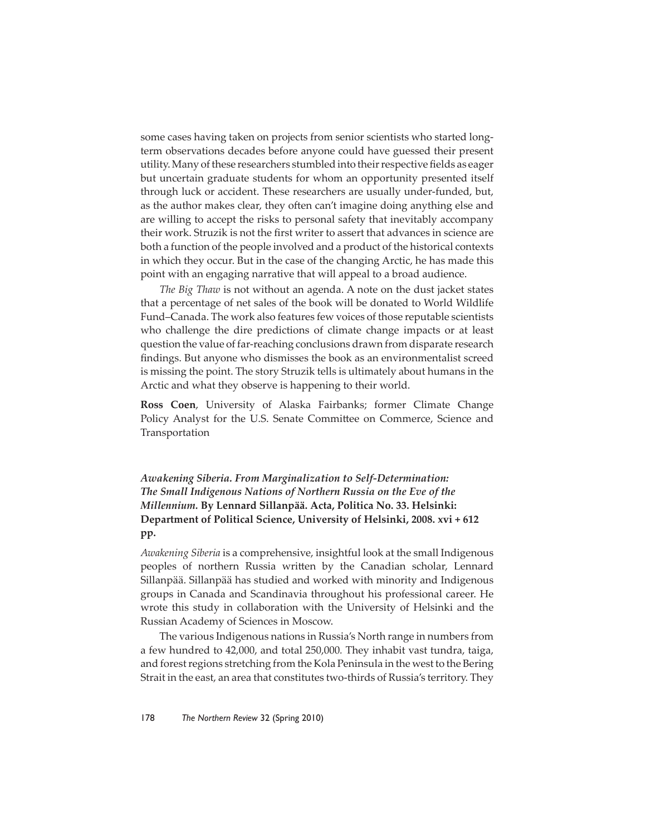some cases having taken on projects from senior scientists who started longterm observations decades before anyone could have guessed their present utility. Many of these researchers stumbled into their respective fields as eager but uncertain graduate students for whom an opportunity presented itself through luck or accident. These researchers are usually under-funded, but, as the author makes clear, they often can't imagine doing anything else and are willing to accept the risks to personal safety that inevitably accompany their work. Struzik is not the first writer to assert that advances in science are both a function of the people involved and a product of the historical contexts in which they occur. But in the case of the changing Arctic, he has made this point with an engaging narrative that will appeal to a broad audience.

*The Big Thaw* is not without an agenda. A note on the dust jacket states that a percentage of net sales of the book will be donated to World Wildlife Fund–Canada. The work also features few voices of those reputable scientists who challenge the dire predictions of climate change impacts or at least question the value of far-reaching conclusions drawn from disparate research findings. But anyone who dismisses the book as an environmentalist screed is missing the point. The story Struzik tells is ultimately about humans in the Arctic and what they observe is happening to their world.

**Ross Coen**, University of Alaska Fairbanks; former Climate Change Policy Analyst for the U.S. Senate Committee on Commerce, Science and Transportation

*Awakening Siberia. From Marginalization to Self-Determination: The Small Indigenous Nations of Northern Russia on the Eve of the Millennium.* **By Lennard Sillanpää. Acta, Politica No. 33. Helsinki: Department of Political Science, University of Helsinki, 2008. xvi + 612 pp.**

*Awakening Siberia* is a comprehensive, insightful look at the small Indigenous peoples of northern Russia written by the Canadian scholar, Lennard Sillanpää. Sillanpää has studied and worked with minority and Indigenous groups in Canada and Scandinavia throughout his professional career. He wrote this study in collaboration with the University of Helsinki and the Russian Academy of Sciences in Moscow.

The various Indigenous nations in Russia's North range in numbers from a few hundred to 42,000, and total 250,000*.* They inhabit vast tundra, taiga, and forest regions stretching from the Kola Peninsula in the west to the Bering Strait in the east, an area that constitutes two-thirds of Russia's territory. They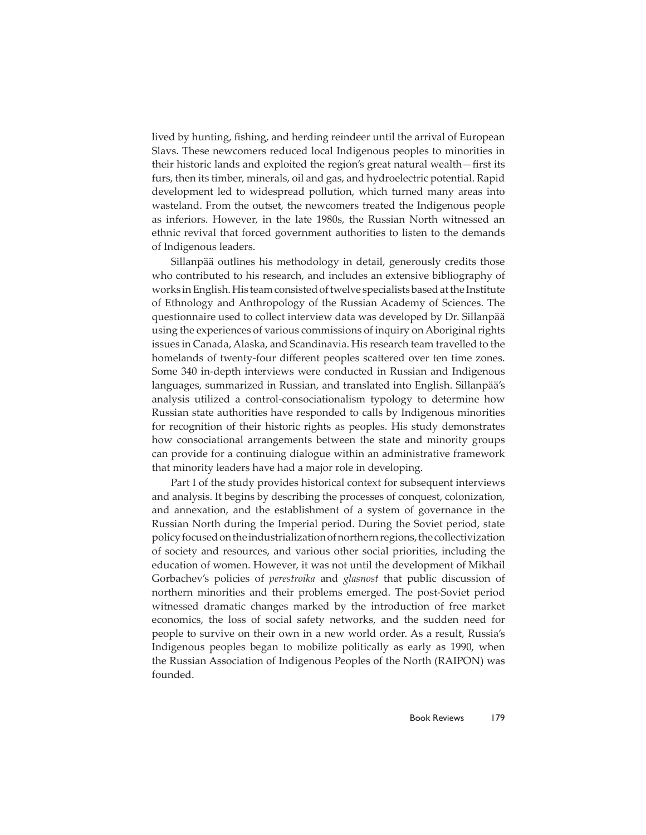lived by hunting, fishing, and herding reindeer until the arrival of European Slavs. These newcomers reduced local Indigenous peoples to minorities in their historic lands and exploited the region's great natural wealth–first its furs, then its timber, minerals, oil and gas, and hydroelectric potential. Rapid development led to widespread pollution, which turned many areas into wasteland. From the outset, the newcomers treated the Indigenous people as inferiors. However, in the late 1980s, the Russian North witnessed an ethnic revival that forced government authorities to listen to the demands of Indigenous leaders.

Sillanpää outlines his methodology in detail, generously credits those who contributed to his research, and includes an extensive bibliography of works in English. His team consisted of twelve specialists based at the Institute of Ethnology and Anthropology of the Russian Academy of Sciences. The questionnaire used to collect interview data was developed by Dr. Sillanpää using the experiences of various commissions of inquiry on Aboriginal rights issues in Canada, Alaska, and Scandinavia. His research team travelled to the homelands of twenty-four different peoples scattered over ten time zones. Some 340 in-depth interviews were conducted in Russian and Indigenous languages, summarized in Russian, and translated into English. Sillanpää's analysis utilized a control-consociationalism typology to determine how Russian state authorities have responded to calls by Indigenous minorities for recognition of their historic rights as peoples. His study demonstrates how consociational arrangements between the state and minority groups can provide for a continuing dialogue within an administrative framework that minority leaders have had a major role in developing.

Part I of the study provides historical context for subsequent interviews and analysis. It begins by describing the processes of conquest, colonization, and annexation, and the establishment of a system of governance in the Russian North during the Imperial period. During the Soviet period, state policy focused on the industrialization of northern regions, the collectivization of society and resources, and various other social priorities, including the education of women. However, it was not until the development of Mikhail Gorbachev's policies of *perestroika* and *glasnost* that public discussion of northern minorities and their problems emerged. The post-Soviet period witnessed dramatic changes marked by the introduction of free market economics, the loss of social safety networks, and the sudden need for people to survive on their own in a new world order. As a result, Russia's Indigenous peoples began to mobilize politically as early as 1990, when the Russian Association of Indigenous Peoples of the North (RAIPON) was founded.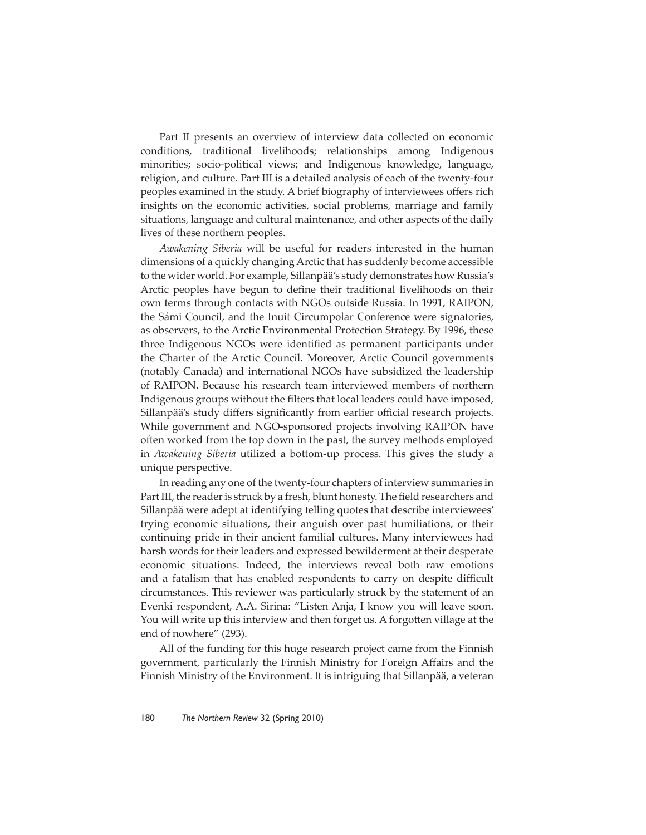Part II presents an overview of interview data collected on economic conditions, traditional livelihoods; relationships among Indigenous minorities; socio-political views; and Indigenous knowledge, language, religion, and culture. Part III is a detailed analysis of each of the twenty-four peoples examined in the study. A brief biography of interviewees offers rich insights on the economic activities, social problems, marriage and family situations, language and cultural maintenance, and other aspects of the daily lives of these northern peoples.

*Awakening Siberia* will be useful for readers interested in the human dimensions of a quickly changing Arctic that has suddenly become accessible to the wider world. For example, Sillanpää's study demonstrates how Russia's Arctic peoples have begun to define their traditional livelihoods on their own terms through contacts with NGOs outside Russia. In 1991, RAIPON, the Sámi Council, and the Inuit Circumpolar Conference were signatories, as observers, to the Arctic Environmental Protection Strategy. By 1996, these three Indigenous NGOs were identified as permanent participants under the Charter of the Arctic Council. Moreover, Arctic Council governments (notably Canada) and international NGOs have subsidized the leadership of RAIPON. Because his research team interviewed members of northern Indigenous groups without the filters that local leaders could have imposed, Sillanpää's study differs significantly from earlier official research projects. While government and NGO-sponsored projects involving RAIPON have often worked from the top down in the past, the survey methods employed in *Awakening Siberia* utilized a bottom-up process. This gives the study a unique perspective.

In reading any one of the twenty-four chapters of interview summaries in Part III, the reader is struck by a fresh, blunt honesty. The field researchers and Sillanpää were adept at identifying telling quotes that describe interviewees' trying economic situations, their anguish over past humiliations, or their continuing pride in their ancient familial cultures. Many interviewees had harsh words for their leaders and expressed bewilderment at their desperate economic situations. Indeed, the interviews reveal both raw emotions and a fatalism that has enabled respondents to carry on despite difficult circumstances. This reviewer was particularly struck by the statement of an Evenki respondent, A.A. Sirina: "Listen Anja, I know you will leave soon. You will write up this interview and then forget us. A forgotten village at the end of nowhere" (293).

All of the funding for this huge research project came from the Finnish government, particularly the Finnish Ministry for Foreign Affairs and the Finnish Ministry of the Environment. It is intriguing that Sillanpää, a veteran